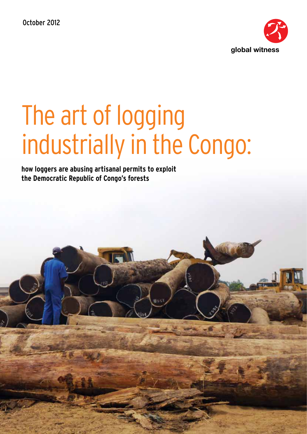October 2012



# The art of logging industrially in the Congo:

**how loggers are abusing artisanal permits to exploit the Democratic Republic of Congo's forests**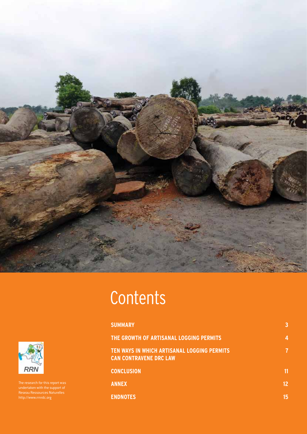

# **Contents**

| <b>SUMMARY</b>                                                               | 3  |
|------------------------------------------------------------------------------|----|
| THE GROWTH OF ARTISANAL LOGGING PERMITS                                      | 4  |
| TEN WAYS IN WHICH ARTISANAL LOGGING PERMITS<br><b>CAN CONTRAVENE DRC LAW</b> | 7  |
| <b>CONCLUSION</b>                                                            | 11 |
| <b>ANNEX</b>                                                                 | 12 |
| <b>ENDNOTES</b>                                                              | 15 |



undertaken with the support of Reseau Ressources Naturelles http://www.rrnrdc.org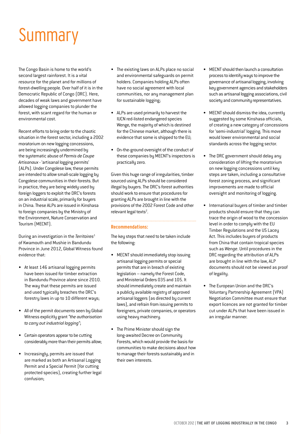### **Summary**

The Congo Basin is home to the world's second largest rainforest. It is a vital resource for the planet and for millions of forest-dwelling people. Over half of it is in the Democratic Republic of Congo (DRC). Here, decades of weak laws and government have allowed logging companies to plunder the forest, with scant regard for the human or environmental cost.

Recent efforts to bring order to the chaotic situation in the forest sector, including a 2002 moratorium on new logging concessions, are being increasingly undermined by the systematic abuse of *Permis de Coupe Artisanaux* - 'artisanal logging permits' (ALPs). Under Congolese law, these permits are intended to allow small-scale logging by Congolese communities in their forests. But in practice, they are being widely used by foreign loggers to exploit the DRC's forests on an industrial scale, primarily for buyers in China. These ALPs are issued in Kinshasa to foreign companies by the Ministry of the Environment, Nature Conservation and Tourism (MECNT).

During an investigation in the *Territoires*<sup>1</sup> of Kwamouth and Mushie in Bandundu Province in June 2012, Global Witness found evidence that:

- • At least 146 artisanal logging permits have been issued for timber extraction in Bandundu Province alone since 2010. The way that these permits are issued and used typically breaches the DRC's forestry laws in up to 10 different ways;
- All of the permit documents seen by Global Witness explicitly grant *"the authorisation to carry out industrial logging"*;
- Certain operators appear to be cutting considerably more than their permits allow;
- • Increasingly, permits are issued that are marked as both an Artisanal Logging Permit and a Special Permit (for cutting protected species), creating further legal confusion;
- The existing laws on ALPs place no social and environmental safeguards on permit holders. Companies holding ALPs often have no social agreement with local communities, nor any management plan for sustainable logging;
- • ALPs are used primarily to harvest the IUCN red-listed endangered species Wenge, the majority of which is destined for the Chinese market, although there is evidence that some is shipped to the EU;
- On-the-ground oversight of the conduct of these companies by MECNT's inspectors is practically zero.

Given this huge range of irregularities, timber sourced using ALPs should be considered illegal by buyers. The DRC's forest authorities should work to ensure that procedures for granting ALPs are brought in line with the provisions of the 2002 Forest Code and other relevant legal texts<sup>2</sup>.

#### **Recommendations:**

The key steps that need to be taken include the following:

- MECNT should immediately stop issuing artisanal logging permits or special permits that are in breach of existing legislation – namely the Forest Code, and Ministerial Orders 035 and 105. It should immediately create and maintain a publicly available registry of approved artisanal loggers (as directed by current laws), and refrain from issuing permits to foreigners, private companies, or operators using heavy machinery.
- The Prime Minister should sign the long-awaited Decree on Community Forests, which would provide the basis for communities to make decisions about how to manage their forests sustainably and in their own interests.
- MECNT should then launch a consultation process to identify ways to improve the governance of artisanal logging, involving key government agencies and stakeholders such as artisanal logging associations, civil society and community representatives.
- MECNT should dismiss the idea, currently suggested by some Kinshasa officials, of creating a new category of concessions for 'semi-industrial' logging. This move would lower environmental and social standards across the logging sector.
- The DRC government should delay any consideration of lifting the moratorium on new logging concessions until key steps are taken, including a consultative forest zoning process, and significant improvements are made to official oversight and monitoring of logging.
- International buyers of timber and timber products should ensure that they can trace the origin of wood to the concession level in order to comply with the EU Timber Regulations and the US Lacey Act. This includes buyers of products from China that contain tropical species such as *Wenge*. Until procedures in the DRC regarding the attribution of ALPs are brought in line with the law, ALP documents should not be viewed as proof of legality.
- The European Union and the DRC's Voluntary Partnership Agreement (VPA) Negotiation Committee must ensure that export licences are not granted for timber cut under ALPs that have been issued in an irregular manner.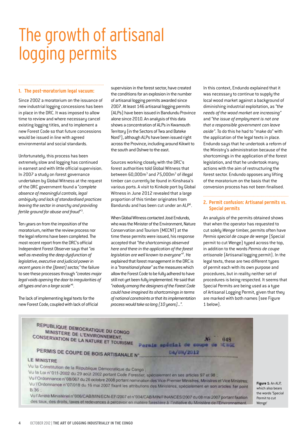### The growth of artisanal logging permits

#### **1. The post-moratorium legal vacuum:**

Since 2002 a moratorium on the issuance of new industrial logging concessions has been in place in the DRC. It was imposed to allow time to review and where necessary cancel existing logging titles, and to implement a new Forest Code so that future concessions would be issued in line with agreed environmental and social standards.

Unfortunately, this process has been extremely slow and logging has continued in earnest and with little official supervision. In 2007 a study on forest governance undertaken by Global Witness at the request of the DRC government found a "*complete absence of meaningful controls, legal ambiguity and lack of standardised practices leaving the sector in anarchy and providing fertile ground for abuse and fraud*" 3 .

Ten years on from the imposition of the moratorium, neither the review process nor the legal reforms have been completed. The most recent report from the DRC's official Independent Forest Observer says that *"as well as revealing the deep dysfunction of legislative, executive and judicial power in recent years in the (forest) sector,"* the failure to see these processes through *"creates major legal voids opening the door to irregularities of all types and on a large scale"*<sup>4</sup> .

The lack of implementing legal texts for the new Forest Code, coupled with lack of official supervision in the forest sector, have created the conditions for an explosion in the number of artisanal logging permits awarded since 2007. Atleast 146 artisanal logging permits (ALPs) have been issued in Bandundu Province alone since 2010. An analysis of this data shows a concentration of ALPs in Kwamouth Territory (in the Sectors of Twa and Bateke Nord5 ), although ALPs have been issued right across the Province, including around Kikwit to the south and Oshwe to the east.

Sources working closely with the DRC's forest authorities told Global Witness that between 60,000m<sup>3</sup> and 75,000m<sup>3</sup> of illegal timber can currently be found in Kinshasa's various ports. A visit to Kinkole port by Global Witness in June 2012 revealed that a large proportion of this timber originates from Bandundu and has been cut under an ALP<sup>6</sup>.

When Global Witness contacted José Endundo, who was the Minister of the Environment, Nature Conservation and Tourism (MECNT) at the time these permits were issued, his response accepted that *"the shortcomings observed here and there in the application of the forest legislation are well known to everyone"*<sup>7</sup> . He explained that forest management in the DRC is in a *"transitional phase"* as the measures which allow the Forest Code to be fully adhered to have still not yet been fully implemented. He said that *"nobody among the designers of the Forest Code could have imagined its shortcomings in terms of national constraints or that its implementation process would take so long (10 years)..."*.

In this context, Endundo explained that it was necessary to continue to supply the local wood market against a background of diminishing industrial exploitation, as *"the needs of the wood market are increasing"* and *"the issue of employment is not one that a responsible government can leave aside"*. To do this he had to "make do" with the application of the legal texts in place. Endundo says that he undertook a reform of the Ministry's administration because of the shortcomings in the application of the forest legislation, and that he undertook many actions with the aim of restructuring the forest sector. Endundo opposes any lifting of the moratorium on the basis that the conversion process has not been finalised.

#### **2. Permit confusion: Artisanal permits vs. Special permits**

An analysis of the permits obtained shows that when the operator has requested to cut solely *Wenge* timber, permits often have *Permis special de coupe de wenge* (Special permit to cut Wenge) typed across the top, in addition to the words *Permis de coupe artisanale* (Artisanal logging permit). In the legal texts, these are two different types of permit each with its own purpose and procedures, but in reality neither set of procedures is being respected. It seems that Special Permits are being used as a type of Artisanal Logging Permit, given that they are marked with both names (see Figure 1 below).



Vu l'Ordonnance n'07/018 du 16 mai 2007 fixant les attributions des Ministères, spécialement en son articles 1er point B.36

Vu l'Arrêté Ministériel n°006/CAB/MIN/ECN-EF/2007 et n°004/CAB/MIN/FINANCES/2007 du 08 mai 2007 portant fixation des taux, des droits, taxes et redevances à percevoir en matière forestière à l'initiative du Ministère de l'Environnement.

**Figure 1:** An ALP, which also bears the words 'Special Permit to cut Wenge'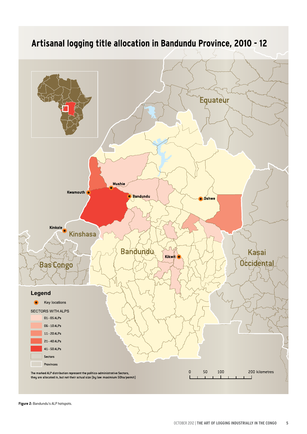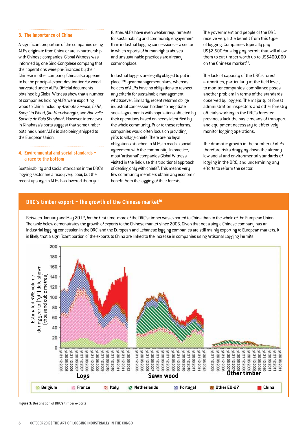#### **3. The importance of China**

A significant proportion of the companies using ALPs originate from China or are in partnership with Chinese companies. Global Witness was informed by one Sino-Congolese company that their operations were pre-financed by their Chinese mother company. China also appears to be the principal export destination for wood harvested under ALPs. Official documents obtained by Global Witness show that a number of companies holding ALPs were exporting wood to China including *Azimuts Service*, *CEBA*, *Song Lin Wood*, *Qiu-Hua-Huangfu*, and *Nouvelle Societe de Bois Shushan*<sup>8</sup> . However, interviews in Kinshasa's ports suggest that some timber obtained under ALPs is also being shipped to the European Union.

#### **4. Environmental and social standards – a race to the bottom**

Sustainability and social standards in the DRC's logging sector are already very poor, but the recent upsurge in ALPs has lowered them yet

further. ALPs have even weaker requirements for sustainability and community engagement than industrial logging concessions – a sector in which reports of human rights abuses and unsustainable practices are already commonplace.

Industrial loggers are legally obliged to put in place 25-year management plans, whereas holders of ALPs have no obligations to respect any criteria for sustainable management whatsoever. Similarly, recent reforms oblige industrial concession holders to negotiate social agreements with populations affected by their operations based on needs identified by the whole community. Prior to these reforms, companies would often focus on providing gifts to village chiefs. There are no legal obligations attached to ALPs to reach a social agreement with the community. In practice, most 'artisanal' companies Global Witness visited in the field use this traditional approach of dealing only with chiefs<sup>9</sup>. This means very few community members obtain any economic benefit from the logging of their forests.

The government and people of the DRC receive very little benefit from this type of logging. Companies typically pay US\$2,500 for a logging permit that will allow them to cut timber worth up to US\$400,000 on the Chinese market $^{11}$ .

The lack of capacity of the DRC's forest authorities, particularly at the field level, to monitor companies' compliance poses another problem in terms of the standards observed by loggers. The majority of forest administration inspectors and other forestry officials working in the DRC's forested provinces lack the basic means of transport and equipment necessary to effectively monitor logging operations.

The dramatic growth in the number of ALPs therefore risks dragging down the already low social and environmental standards of logging in the DRC, and undermining any efforts to reform the sector.

#### **DRC's timber export - the growth of the Chinese market<sup>10</sup>**

Between January and May 2012, for the first time, more of the DRC's timber was exported to China than to the whole of the European Union. The table below demonstrates the growth of exports to the Chinese market since 2005. Given that not a single Chinese company has an industrial logging concession in the DRC, and the European and Lebanese logging companies are still mainly exporting to European markets, it is likely that a significant portion of the exports to China are linked to the increase in companies using Artisanal Logging Permits.



**Figure 3:** Destination of DRC's timber exports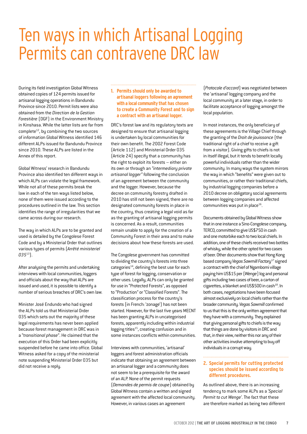### Ten ways in which Artisanal Logging Permits can contravene DRC law

During its field investigation Global Witness obtained copies of 124 permits issued for artisanal logging operations in Bandundu Province since 2010. Permit lists were also obtained from the *Direction de la Gestion Forestière* (DGF) in the Environment Ministry in Kinshasa. While the latter lists are far from complete $^{12}$ , by combining the two sources of information Global Witness identified 146 different ALPs issued for Bandundu Province since 2010. These ALPs are listed in the Annex of this report.

Global Witness' research in Bandundu Province also identified ten different ways in which ALPs can violate the legal framework. While not all of these permits break the law in each of the ten ways listed below, none of them were issued according to the procedures outlined in the law. This section identifies the range of irregularities that we came across during our research.

The way in which ALPs are to be granted and used is detailed by the Congolese Forest Code and by a Ministerial Order that outlines various types of permits (*Arrêté ministeriel 035*13).

After analysing the permits and undertaking interviews with local communities, loggers and officials about the way that ALPs are issued and used, it is possible to identify a number of serious breaches of DRC's own law.

Minister José Endundo who had signed the ALPs told us that Ministerial Order 035 which sets out the majority of these legal requirements has never been applied because forest management in DRC was in a "*transitional phase*". He claimed that the execution of this Order had been explicitly suspended before he came into office. Global Witness asked for a copy of the ministerial note suspending Ministerial Order 035 but did not receive a reply.

#### **1. Permits should only be awarded to artisanal loggers following an agreement with a local community that has chosen to create a Community Forest and to sign a contract with an artisanal logger.**

DRC's forest law and its regulatory texts are designed to ensure that artisanal logging is undertaken by local communities for their own benefit. The 2002 Forest Code (Article 112) and Ministerial Order 035 (Article 24) specify that a community has the right to exploit its forests – either on its own or through an *"intermediary private artisanal logger"* following the conclusion of an agreement between the community and the logger. However, because the decree on community forestry drafted in 2010 has still not been signed, there are no designated community forests in place in the country, thus creating a legal void as far as the granting of artisanal logging permits is concerned. As a result, communities remain unable to apply for the creation of a Community Forest in their area and to make decisions about how these forests are used.

The Congolese government has committed to dividing the country's forests into three categories<sup>14</sup>, defining the best use for each type of forest for logging, conservation or other uses. Legally, ALPs can only be granted for use in "Protected Forests", as opposed to "Production" or "Classified Forests". The classification process for the country's forests (in French: 'zonage') has not been started. However, for the last five years MECNT has been granting ALPs in uncategorised forests, apparently including within industrial logging titles<sup>15</sup>, creating confusion and in some instances conflicts within communities.

Interviews with communities, 'artisanal' loggers and forest administration officials indicate that obtaining an agreement between an artisanal logger and a community does not seem to be a prerequisite for the award of an ALP. None of the permit requests (*Demandes de permis de coupe*) obtained by Global Witness contain a written and signed agreement with the affected local community. However, in various cases an agreement

(*Protocole d'accord*) was negotiated between the 'artisanal' logging company and the local community at a later stage, in order to facilitate acceptance of logging amongst the local population.

In most instances, the only beneficiary of these agreements is the Village Chief through the granting of the *Droit de jouissance* (the traditional right of a chief to receive a gift from a visitor). Giving gifts to chiefs is not in itself illegal, but it tends to benefit locally powerful individuals rather than the wider community. In many ways the system mirrors the way in which "benefits" were given out to communities, or rather their traditional chiefs, by industrial logging companies before a 2010 decree on obligatory social agreements between logging companies and affected communities was put in place<sup>16</sup>.

Documents obtained by Global Witness show that in one instance a Sino-Congolese company, TERCO, committed to give US\$750 in cash and one motorbike each to two local chiefs. In addition, one of these chiefs received two bottles of whisky, while the other opted for two cases of beer. Other documents show that Hong Kong based company *Vegas Sawmill Factory*17 signed a contract with the chief of Ngambomi village paying him US\$15 per (*Wenge*) log and personal gifts including two cases of beer, a carton of cigarettes, a blanket and US\$500 in cash $^{18}$ . In both cases, negotiations have been focused almost exclusively on local chiefs rather than the broader community. *Vegas Sawmill* confirmed to us that this is the only written agreement that they have with a community. They explained that giving personal gifts to chiefs is the way that things are done by visitors in DRC and that, in their view, neither this nor any of their other activities involve attempting to buy off individuals in a corrupt way.

#### **2. Special permits for cutting protected species should be issued according to different procedures.**

As outlined above, there is an increasing tendency to mark some ALPs as a *'Special Permit to cut Wenge'*. The fact that these are therefore marked as being two different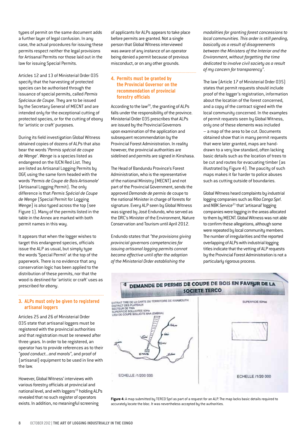types of permit on the same document adds a further layer of legal confusion. In any case, the actual procedures for issuing these permits respect neither the legal provisions for Artisanal Permits nor those laid out in the law for issuing Special Permits.

Articles 12 and 13 of Ministerial Order 035 specify that the harvesting of protected species can be authorised through the issuance of special permits, called *Permis Spéciaux de Coupe*. They are to be issued by the Secretary General of MECNT and are intended only for the exceptional cutting of protected species, or for the cutting of ebony for 'artistic or craft' purposes.

During its field investigation Global Witness obtained copies of dozens of ALPs that also bear the words '*Permis spécial de coupe de Wenge*'. *Wenge* is a species listed as endangered on the IUCN Red List. They are listed as Artisanal Logging Permits by DGF, using the same form headed with the words '*Permis de Coupe de Bois Artisanale*' (Artisanal Logging Permit). The only difference is that *Permis Spécial de Coupe de Wenge* (Special Permit for Logging *Wenge*) is also typed across the top (see Figure 1). Many of the permits listed in the table in the Annex are marked with both permit names in this way.

It appears that when the logger wishes to target this endangered species, officials issue the ALP as usual, but simply type the words 'Special Permit' at the top of the paperwork. There is no evidence that any conservation logic has been applied to the distribution of these permits, nor that the wood is destined for 'artistic or craft' uses as prescribed for *ebony*.

#### **3. ALPs must only be given to registered artisanal loggers**

Articles 25 and 26 of Ministerial Order 035 state that artisanal loggers must be registered with the provincial authorities and that registration must be renewed after three years. In order to be registered, an operator has to provide references as to their *"good conduct...and morals"*, and proof of (artisanal) equipment to be used in line with the law.

However, Global Witness' interviews with various forestry officials at provincial and national level, and with loggers<sup>19</sup> holding ALPs revealed that no such register of operators exists. In addition, no meaningful screening

of applicants for ALPs appears to take place before permits are granted. Not a single person that Global Witness interviewed was aware of any instance of an operator being denied a permit because of previous misconduct, or on any other grounds.

#### **4. Permits must be granted by the Provincial Governor on the recommendation of provincial forestry officials**

According to the law<sup>20</sup>, the granting of ALPs falls under the responsibility of the province. Ministerial Order 035 prescribes that ALPs are issued by the Provincial Governors upon examination of the application and subsequent recommendation by the Provincial Forest Administration. In reality however, the provincial authorities are sidelined and permits are signed in Kinshasa.

The Head of Bandundu Province's Forest Administration, who is the representative of the national Ministry (MECNT) and not part of the Provincial Government, sends the approved *Demande de permis* de coupe to the national Minister in charge of forests for signature. Every ALP seen by Global Witness was signed by José Endundo, who served as the DRC's Minister of the Environment, Nature Conservation and Tourism until April 2012.

Endundo states that *"the provisions giving provincial governors competencies for issuing artisanal logging permits cannot become effective until after the adoption of the Ministerial Order establishing the* 

*modalities for granting forest concessions to local communities. This order is still pending, basically as a result of disagreements between the Ministers of the Interior and the Environment, without forgetting the time dedicated to involve civil society as a result of my concern for transparency"*.

The law (Article 17 of Ministerial Order 035) states that permit requests should include proof of the logger's registration, information about the location of the forest concerned, and a copy of the contract signed with the local community concerned. In the examples of permit requests seen by Global Witness, only one of these elements was included – a map of the area to be cut. Documents obtained show that in many permit requests that were later granted, maps are handdrawn to a very low standard, often lacking basic details such as the location of trees to be cut and routes for evacuating timber (as illustrated by Figure 4). The paucity of such maps makes it far harder to police abuses such as cutting outside of boundaries.

Global Witness heard complaints by industrial logging companies such as *Riba Congo Sprl*. and *NBK Service*<sup>21</sup> that 'artisanal' logging companies were logging in the areas allocated to them by MECNT. Global Witness was not able to confirm these allegations, although some were repeated by local community members. The number of irregularities and the reported overlapping of ALPs with industrial logging titles indicate that the vetting of ALP requests by the Provincial Forest Administration is not a particularly rigorous process.

### DEMANDE DE PERMIS DE COUPE DE BOIS EN FAVEUR DE LA **SOCIETE TERCO**



**Figure 4:** A map submitted by TERCO Sprl as part of a request for an ALP. The map lacks basic details required to accurately locate the bloc. It was nevertheless accepted by the authorities.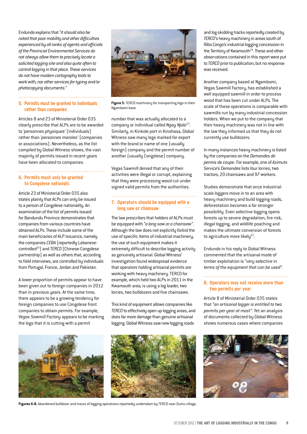Endundo explains that *"it should also be noted that poor mobility and other difficulties experienced by all ranks of agents and officials of the Provincial Environmental Services do not always allow them to precisely locate a solicited logging site and also quite often to control logging in that place. These services do not have modern cartography tools to work with, nor other services for typing and/or photocopying documents."*

#### **5. Permits must be granted to individuals rather than companies**

Articles 8 and 23 of Ministerial Order 035 clearly prescribe that ALPs are to be awarded to *'personnes physiques'* (individuals) rather than *'personnes morales'* (companies or associations). Nevertheless, as the list compiled by Global Witness shows, the vast majority of permits issued in recent years have been allocated to companies.

#### **6. Permits must only be granted to Congolese nationals**

Article 23 of Ministerial Order 035 also states plainly that ALPs can only be issued to a person of Congolese nationality. An examination of the list of permits issued for Bandundu Province demonstrates that companies from various countries have obtained ALPs. These include some of the main beneficiaries of ALP issuance, namely the companies *CEBA* (reportedly Lebanesecontrolled22) and *TERCO* (Chinese-Congolese partnership) as well as others that, according to field interviews, are controlled by individuals from Portugal, France, Jordan and Pakistan.

A lower proportion of permits appear to have been given out to foreign companies in 2012 than in previous years. At the same time, there appears to be a growing tendency for foreign companies to use Congolese front companies to obtain permits. For example, *Vegas Sawmill Factory* appears to be marking the logs that it is cutting with a permit



**Figure 5:** TERCO machinery for transporting logs in their Ngambomi base

number that was actually allocated to a company or individual called *Ngoy Njolo*23. Similarly, in Kinkole port in Kinshasa, Global Witness saw many logs marked for export with the brand or name of one (usually foreign) company and the permit number of another (usually Congolese) company.

Vegas Sawmill denied that any of their activities were illegal or corrupt, explaining that they were processing wood cut under signed valid permits from the authorities.

#### **7. Operators should be equipped with a long saw or chainsaw**

The law prescribes that holders of ALPs must be equipped with *"a long saw or a chainsaw"*. Although the law does not explicitly forbid the use of specific items of industrial machinery, the use of such equipment makes it extremely difficult to describe logging activity as genuinely artisanal. Global Witness' investigation found widespread evidence that operators holding artisanal permits are working with heavy machinery. TERCO for example, which held two ALPs in 2011 in the Kwamouth area, is using a log loader, two lorries, two bulldozers and five chainsaws.

This kind of equipment allows companies like *TERCO* to effectively open up logging areas, and does far more damage than genuine artisanal logging. Global Witness saw new logging roads





**Figures 6-8:** Abandoned bulldozer and traces of logging operations reportedly undertaken by TERCO near Dumu village.

and log skidding tracks reportedly created by *TERCO*'s heavy machinery in areas south of *Riba Congo's* industrial logging concession in the Territory of Kwamouth<sup>24</sup>. These and other observations contained in this report were put to *TERCO* prior to publication, but no response was received.

Another company based at Ngambomi, Vegas Sawmill Factory, has established a well equipped sawmill in order to process wood that has been cut under ALPs. The scale of these operations is comparable with sawmills run by many industrial concession holders. When we put to the company that their heavy machinery was not in line with the law they informed us that they do not currently use bulldozers.

In many instances heavy machinery is listed by the companies on the *Demandes de permis de coupe*. For example, one of *Azimuts Service's Demandes* lists four lorries, two tractors, 20 chainsaws and 97 workers.

Studies demonstrate that once industrialscale loggers move in to an area with heavy machinery and build logging roads, deforestation becomes a far stronger possibility. Even selective logging opens forests up to severe degradation, fire risk, illegal logging, and wildlife poaching and makes the ultimate conversion of forests to agriculture more likely $25$ .

Endundo in his reply to Global Witness commented that the artisanal mode of timber exploitation is *"very selective in terms of the equipment that can be used"*.

#### **8. Operators may not receive more than two permits per year**

Article 8 of Ministerial Order 035 states that *"an artisanal logger is entitled to two permits per year at most"*. Yet an analysis of documents collected by Global Witness shows numerous cases where companies

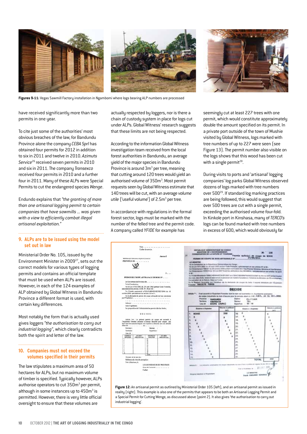

**Figures 9-11:** Vegas Sawmill Factory installation in Ngambomi where logs bearing ALP numbers are processed

have received significantly more than two permits in one year.

To cite just some of the authorities' most obvious breaches of the law, for Bandundu Province alone the company *CEBA Sprl* has obtained four permits for 2012 in addition to six in 2011 and twelve in 2010. *Azimuts Service*<sup>26</sup> received seven permits in 2010 and six in 2011. The company *Transexco* received four permits in 2010 and a further four in 2011. Many of these ALPs were Special Permits to cut the endangered species *Wenge*.

Endundo explains that *"the granting of more than one artisanal logging permit to certain companies that have sawmills ... was given with a view to efficiently combat illegal artisanal exploitation."*

#### **9. ALPs are to be issued using the model set out in law**

Ministerial Order No. 105, issued by the Environment Minister in 2009<sup>27</sup>, sets out the correct models for various types of logging permits and contains an official template that must be used when ALPs are issued. However, in each of the 124 examples of ALP obtained by Global Witness in Bandundu Province a different format is used, with certain key differences.

Most notably the form that is actually used gives loggers *"the authorisation to carry out industrial logging"*, which clearly contradicts both the spirit and letter of the law.

#### **10. Companies must not exceed the volumes specified in their permits**

The law stipulates a maximum area of 50 hectares for ALPs, but no maximum volume of timber is specified. Typically however, ALPs authorise operators to cut 350m<sup>3</sup> per permit, although in some instances up to  $450m^3$  is permitted. However, there is very little official oversight to ensure that these volumes are

actually respected by loggers, nor is there a chain of custody system in place for logs cut under ALPs. Global Witness' research suggests that these limits are not being respected.

According to the information Global Witness investigation team received from the local forest authorities in Bandundu, an average yield of the major species in Bandundu Province is around 3m<sup>3</sup> per tree, meaning that cutting around 120 trees would yield an authorised volume of 350m<sup>3</sup>. Most permit requests seen by Global Witness estimate that 140 trees will be cut, with an average *volume* utile ('useful volume') of 2.5m<sup>3</sup> per tree.

In accordance with regulations in the formal forest sector, logs must be marked with the number of the felled tree and the permit code. A company called *YFIDE* for example has

seemingly cut at least 227 trees with one permit, which would constitute approximately double the amount specified on its permit. In a private port outside of the town of Mushie visited by Global Witness, logs marked with tree numbers of up to 227 were seen (see Figure 13). The permit number also visible on the logs shows that this wood has been cut with a single permit $^{28}$ .

During visits to ports and 'artisanal' logging companies' log parks Global Witness observed dozens of logs marked with tree numbers over 50029. If standard log marking practices are being followed, this would suggest that over 500 trees are cut with a single permit, exceeding the authorised volume four-fold. In Kinkole port in Kinshasa, many of *TERCO's* logs can be found marked with tree numbers in excess of 600, which would obviously far



**Figure 12:** An artisanal permit as outlined by Ministerial Order 105 (left), and an artisanal permit as issued in reality (right). This example is also one of the permits that appears to be both an Artisanal Logging Permit and a Special Permit for Cutting Wenge, as discussed above (point 2). It also gives 'the authorisation to carry out industrial logging'.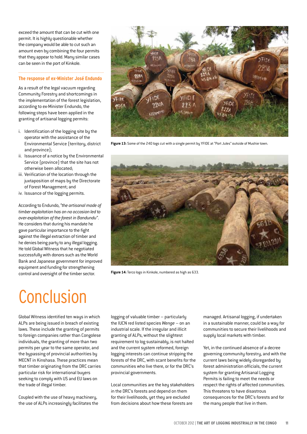exceed the amount that can be cut with one permit. It is highly questionable whether the company would be able to cut such an amount even by combining the four permits that they appear to hold. Many similar cases can be seen in the port of Kinkole.

#### **The response of ex-Minister José Endundo**

As a result of the legal vacuum regarding Community Forestry and shortcomings in the implementation of the forest legislation, according to ex-Minister Endundo, the following steps have been applied in the granting of artisanal logging permits:

- i. Identification of the logging site by the operator with the assistance of the Environmental Service (territory, district and province);
- ii. Issuance of a notice by the Environmental Service (province) that the site has not otherwise been allocated;
- iii. Verification of the location through the juxtaposition of maps by the Directorate of Forest Management; and
- iv. Issuance of the logging permits.

According to Endundo, *"the artisanal mode of timber exploitation has on no occasion led to over-exploitation of the forest in Bandundu"*. He considers that during his mandate he gave particular importance to the fight against the illegal extraction of timber and he denies being party to any illegal logging. He told Global Witness that he negotiated successfully with donors such as the World Bank and Japanese government for improved equipment and funding for strengthening control and oversight of the timber sector.



**Figure 13:** Some of the 240 logs cut with a single permit by YFIDE at "Port Jules" outside of Mushie town.



**Figure 14:**Terco logs in Kinkole, numbered as high as 633.

## **Conclusion**

Global Witness identified ten ways in which ALPs are being issued in breach of existing laws. These include the granting of permits to foreign companies rather than Congolese individuals, the granting of more than two permits per year to the same operator, and the bypassing of provincial authorities by MECNT in Kinshasa. These practices mean that timber originating from the DRC carries particular risk for international buyers seeking to comply with US and EU laws on the trade of illegal timber.

Coupled with the use of heavy machinery, the use of ALPs increasingly facilitates the logging of valuable timber – particularly the IUCN red listed species *Wenge* – on an industrial scale. If the irregular and illicit granting of ALPs, without the slightest requirement to log sustainably, is not halted and the current system reformed, foreign logging interests can continue stripping the forests of the DRC, with scant benefits for the communities who live there, or for the DRC's provincial governments.

Local communities are the key stakeholders in the DRC's forests and depend on them for their livelihoods, yet they are excluded from decisions about how these forests are

managed. Artisanal logging, if undertaken in a sustainable manner, could be a way for communities to secure their livelihoods and supply local markets with timber.

Yet, in the continued absence of a decree governing community forestry, and with the current laws being widely disregarded by forest administration officials, the current system for granting Artisanal Logging Permits is failing to meet the needs or respect the rights of affected communities. This threatens to have disastrous consequences for the DRC's forests and for the many people that live in them.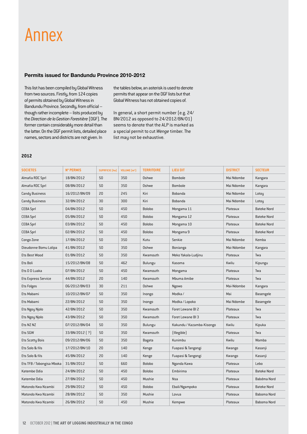### Annex

#### **Permits issued for Bandundu Province 2010-2012**

This list has been compiled by Global Witness from two sources. Firstly, from 124 copies of permits obtained by Global Witness in Bandundu Province. Secondly, from official – though rather incomplete – lists produced by the *Direction de la Gestion Forestière* (DGF). The former contain considerably more detail than the latter. On the DGF permit lists, detailed place names, sectors and districts are not given. In

the tables below, an asterisk is used to denote permits that appear on the DGF lists but that Global Witness has not obtained copies of.

In general, a short permit number(e.g. 24/ BN/2012 as opposed to 24/2012/BN/01) seems to denote that the ALP is marked as a special permit to cut *Wenge* timber. The list may not be exhaustive.

#### **2012**

| <b>SOCIETES</b>           | <b>N° PERMIS</b> | <b>SUPRFICIE</b> (ha) | <b>VOLUME</b> $\{m^3\}$ | <b>TERRITOIRE</b> | LIEU DIT                  | <b>DISTRICT</b> | <b>SECTEUR</b>     |
|---------------------------|------------------|-----------------------|-------------------------|-------------------|---------------------------|-----------------|--------------------|
| Almafia RDC Sprl          | 18/BN/2012       | 50                    | 350                     | Oshwe             | Bombole                   | Mai Ndombe      | Kangara            |
| Almafia RDC Sprl          | 08/BN/2012       | 50                    | 350                     | Oshwe             | Bombole                   | Mai Ndombe      | Kangara            |
| <b>Candy Business</b>     | 16/2012/BN/09    | 20                    | 245                     | Kiri              | Bobanda                   | Mai Ndombe      | Lotoy              |
| Candy Business            | 32/BN/2012       | 30                    | 300                     | Kiri              | Bobanda                   | Mai Ndombe      | Lotoy              |
| <b>CEBA Sprl</b>          | 04/BN/2012       | 50                    | 450                     | <b>Bolobo</b>     | Mongama 11                | Plateaux        | <b>Bateke Nord</b> |
| <b>CEBA Sprl</b>          | 05/BN/2012       | 50                    | 450                     | <b>Bolobo</b>     | Mongama 12                | Plateaux        | Bateke Nord        |
| <b>CEBA Sprl</b>          | 03/BN/2012       | 50                    | 450                     | <b>Bolobo</b>     | Mongama 10                | Plateaux        | <b>Bateke Nord</b> |
| <b>CEBA Sprl</b>          | 02/BN/2012       | 50                    | 450                     | <b>Bolobo</b>     | Mongama 9                 | Plateaux        | <b>Bateke Nord</b> |
| Congo Zone                | 17/BN/2012       | 50                    | 350                     | Kutu              | Senkie                    | Mai Ndombe      | Kemba              |
| Dieudonne Bomu Lolipa     | 41/BN/2012       | 50                    | 350                     | Oshwe             | Bonianga                  | Mai-Ndombe      | Kangara            |
| Ets Best Wood             | 01/BN/2012       | 50                    | 350                     | Kwamouth          | Meko Yakala-Ludjinu       | Plateaux        | Twa                |
| Ets Boli                  | 15/2012/BN/08    | 50                    | 462                     | Bulungu           | Kasoma                    | Kwilu           | Kipungu            |
| Ets D D Luaka             | 07/BN/2012       | 50                    | 450                     | Kwamouth          | Mongama                   | Plateaux        | Twa                |
| Ets Express Service       | 44/BN/2012       | 20                    | 140                     | Kwamouth          | Mbuma Amibe               | Plateaux        | Twa                |
| <b>Ets Folges</b>         | 06/2012/BN/03    | 30                    | 211                     | Oshwe             | Ngowo                     | Mai-Ndombe      | Kangara            |
| Ets Mabami                | 10/2012/BN/07    | 50                    | 350                     | Inongo            | Modka/                    | Mai             | Basengele          |
| Ets Mabami                | 22/BN/2012       | 50                    | 350                     | Inongo            | Modka / Lopoko            | Mai Ndombe      | Basengele          |
| Ets Ngoy Njolo            | 42/BN/2012       | 50                    | 350                     | Kwamouth          | Foret Lewane BI 2         | Plateaux        | Twa                |
| Ets Ngoy Njolo            | 43/BN/2012       | 50                    | 350                     | Kwamouth          | Foret Lewane BI 3         | Plateaux        | Twa                |
| Ets NZ NZ                 | 07/2012/BN/04    | 50                    | 350                     | Bulungu           | Kakundu / Kazamba-Kisongo | Kwilu           | Kipuka             |
| Ets SGW                   | 33/BN/2012 [ ? ] | 50                    | 350                     | Kwamouth          | [Illegible]               | Plateaux        | Twa                |
| <b>Ets Scotty Bois</b>    | 09/2012/BN/06    | 50                    | 350                     | Bagata            | Kunimbu                   | Kwilu           | Wamba              |
| Ets Solo & fils           | 17/2012/BN/10    | 20                    | 140                     | Kenge             | Fuapasi & Tangongi        | Kwango          | Kasanji            |
| Ets Solo & fils           | 45/BN/2012       | 20                    | 140                     | Kenge             | Fuapasi & Tangongi        | Kwango          | Kasanji            |
| Ets TFB / Tobongisa Mboka | 31/BN/2012       | 50                    | 660                     | <b>Bolobo</b>     | Nganda Kawa               | Plateaux        | Lebo               |
| Katembe Odia              | 24/BN/2012       | 50                    | 450                     | <b>Bolobo</b>     | Embirima                  | Plateaux        | <b>Bateke Nord</b> |
| Katembe Odia              | 27/BN/2012       | 50                    | 450                     | Mushie            | Nsa                       | Plateaux        | Babdma Nord        |
| Matondo Kwa Nzambi        | 29/BN/2012       | 50                    | 450                     | <b>Bolobo</b>     | Ebali/Ngampoko            | Plateaux        | <b>Bateke Nord</b> |
| Matondo Kwa Nzambi        | 28/BN/2012       | 50                    | 350                     | Mushie            | Lovua                     | Plateaux        | Baboma Nord        |
| Matondo Kwa Nzambi        | 26/BN/2012       | 50                    | 450                     | Mushie            | Kempwe                    | Plateaux        | Baboma Nord        |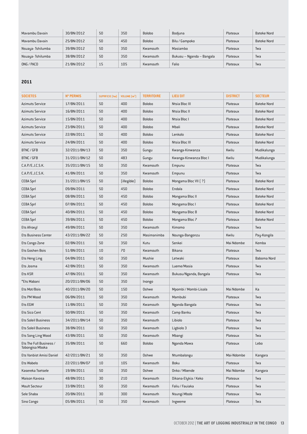| Mayambu Dayain   | 30/BN/2012 | 50  | 350 | Bolobo        | Bodiuna                   | Plateaux | Bateke Nord |
|------------------|------------|-----|-----|---------------|---------------------------|----------|-------------|
| Mayambu Dayain   | 25/BN/2012 | 50  | 450 | <b>Bolobo</b> | Bilu / Gampoko            | Plateaux | Bateke Nord |
| Nsuaya-Tshilumba | 39/BN/2012 | 50  | 350 | Kwamouth      | Masiambo                  | Plateaux | Twa         |
| Nsuaya-Tshilumba | 38/BN/2012 | 50  | 350 | Kwamouth      | Bukusu - Nganda - Bangala | Plateaux | Twa         |
| ONG / PACD       | 21/BN/2012 | 1.5 | 105 | Kwamouth      | Falio                     | Plateaux | Twa         |

#### **2011**

| <b>SOCIETES</b>                            | <b>N° PERMIS</b> | <b>SUPRFICIE</b> [ha] | VOLUME $\text{m}^3$ | <b>TERRITOIRE</b> | <b>LIEU DIT</b>        | <b>DISTRICT</b> | <b>SECTEUR</b>     |
|--------------------------------------------|------------------|-----------------------|---------------------|-------------------|------------------------|-----------------|--------------------|
| <b>Azimuts Service</b>                     | 17/BN/2011       | 50                    | 400                 | <b>Bolobo</b>     | Ntsia Bloc III         | Plateaux        | <b>Bateke Nord</b> |
| <b>Azimuts Service</b>                     | 16/BN/2011       | 50                    | 400                 | <b>Bolobo</b>     | Ntsia Bloc II          | Plateaux        | <b>Bateke Nord</b> |
| <b>Azimuts Service</b>                     | 15/BN/2011       | 50                    | 400                 | <b>Bolobo</b>     | Ntsia Bloc I           | Plateaux        | <b>Bateke Nord</b> |
| <b>Azimuts Service</b>                     | 23/BN/2011       | 50                    | 400                 | <b>Bolobo</b>     | Mbali                  | Plateaux        | <b>Bateke Nord</b> |
| <b>Azimuts Service</b>                     | 22/BN/2011       | 50                    | 400                 | <b>Bolobo</b>     | Lenkolo                | Plateaux        | <b>Bateke Nord</b> |
| <b>Azimuts Service</b>                     | 24/BN/2011       | 50                    | 400                 | <b>Bolobo</b>     | Ntsia Bloc III         | Plateaux        | <b>Bateke Nord</b> |
| BTNC / GFB                                 | 32/2011/BN/13    | 50                    | 350                 | Gungu             | Kwanga-Kinwanza        | Kwilu           | Mudikalunga        |
| BTNC / GFB                                 | 31/2011/BN/12    | 50                    | 483                 | Gungu             | Kwanga-Kinwanza Bloc I | Kwilu           | Mudikalunga        |
| C.A.P./E.J.C.S.K.                          | 35/2011/BN/15    | 50                    | 350                 | Kwamouth          | Empunu                 | Plateaux        | Twa                |
| C.A.P./E.J.C.S.K.                          | 41/BN/2011       | 50                    | 350                 | Kwamouth          | Empunu                 | Plateaux        | Twa                |
| <b>CEBA Sprl</b>                           | 31/2011/BN/15    | 50                    | (illegible)         | <b>Bolobo</b>     | Mongama Bloc VII [ ? ] | Plateaux        | <b>Bateke Nord</b> |
| <b>CEBA Sprl</b>                           | 09/BN/2011       | 50                    | 450                 | Bolobo            | Endala                 | Plateaux        | <b>Bateke Nord</b> |
| <b>CEBA Sprl</b>                           | 08/BN/2011       | 50                    | 450                 | <b>Bolobo</b>     | Mongama Bloc II        | Plateaux        | <b>Bateke Nord</b> |
| <b>CEBA Sprl</b>                           | 07/BN/2011       | 50                    | 450                 | <b>Bolobo</b>     | Mongama Bloc I         | Plateaux        | <b>Bateke Nord</b> |
| <b>CEBA Sprl</b>                           | 40/BN/2011       | 50                    | 450                 | <b>Bolobo</b>     | Mongama Bloc 8         | Plateaux        | <b>Bateke Nord</b> |
| <b>CEBA Sprl</b>                           | 39/BN/2011       | 50                    | 450                 | <b>Bolobo</b>     | Mongama Bloc 7         | Plateaux        | <b>Bateke Nord</b> |
| Ets Afroxyl                                | 49/BN/2011       | 50                    | 350                 | Kwamouth          | Kimomo                 | Plateaux        | Twa                |
| <b>Ets Business Center</b>                 | 43/2011/BN/22    | 50                    | 250                 | Masimanimba       | Nounga-Bangonzu        | Kwilu           | Pay-Kongila        |
| Ets Congo Zone                             | 02/BN/2011       | 50                    | 350                 | Kutu              | Senkei                 | Mai Ndombe      | Kemba              |
| Ets Goshen Bois                            | 51/BN/2011       | 10                    | 70                  | Kwamouth          | Bikana                 | Plateaux        | Twa                |
| Ets Heng Ling                              | 04/BN/2011       | 50                    | 350                 | Mushie            | Letwaki                | Plateaux        | Baboma Nord        |
| Ets Josma                                  | 42/BN/2011       | 50                    | 350                 | Kwamouth          | Lueme/Masia            | Plateaux        | Twa                |
| Ets KSR                                    | 47/BN/2011       | 50                    | 350                 | Kwamouth          | Bukusu/Nganda, Bangala | Plateaux        | Twa                |
| *Ets Mabani                                | 20/2011/BN/06    | 50                    | 350                 | Inongo            |                        |                 |                    |
| Ets Mot/Bois                               | 40/2011/BN/20    | 50                    | 150                 | Oshwe             | Mpombi / Mombi-Lisala  | Mai Ndombe      | Ka                 |
| Ets PM Wood                                | 06/BN/2011       | 50                    | 350                 | Kwamouth          | Mambubi                | Plateaux        | Twa                |
| Ets EGW                                    | 11/BN/2011       | 50                    | 350                 | Kwamouth          | Nganda Bangala         | Plateaux        | Twa                |
| Ets Sico Cent                              | 50/BN/2011       | 50                    | 350                 | Kwamouth          | Camp Banku             | Plateaux        | Twa                |
| Ets Soleil Business                        | 34/2011/BN/14    | 50                    | 350                 | Kwamouth          | Libiolo                | Plateaux        | Twa                |
| <b>Ets Soleil Business</b>                 | 38/BN/2011       | 50                    | 350                 | Kwamouth          | Ligbiolo 3             | Plateaux        | Twa                |
| Ets Song Ling Wood                         | 43/BN/2011       | 50                    | 350                 | Kwamouth          | Mbangi                 | Plateaux        | Twa                |
| Ets The Full Business /<br>Tobongisa Mboka | 35/BN/2011       | 50                    | 660                 | Bolobo            | Nganda Mawa            | Plateaux        | Lebo               |
| Ets Vanbist Amisi Daniel                   | 42/2011/BN/21    | 50                    | 350                 | Oshwe             | Ntumbalongu            | Mai-Ndombe      | Kangara            |
| Ets Wabelo                                 | 22/2011/BN/07    | 10                    | 105                 | Kwamouth          | Boku                   | Plateaux        | Twa                |
| Kasereka Tsetsele                          | 19/BN/2011       | 50                    | 350                 | Oshwe             | Onko / Mbende          | Mai Ndombe      | Kangara            |
| Maison Kavosa                              | 48/BN/2011       | 30                    | 210                 | Kwamouth          | Dikana-Elykia / Keko   | Plateaux        | Twa                |
| <b>Moult Secteur</b>                       | 33/BN/2011       | 50                    | 350                 | Kwamouth          | Faliu / Fauiaka        | Plateaux        | Twa                |
| Sele Shaba                                 | 20/BN/2011       | 30                    | 300                 | Kwamouth          | Nsungi Mbole           | Plateaux        | Twa                |
| Sino Congo                                 | 05/BN/2011       | 50                    | 350                 | Kwamouth          | Ingweme                | Plateaux        | Twa                |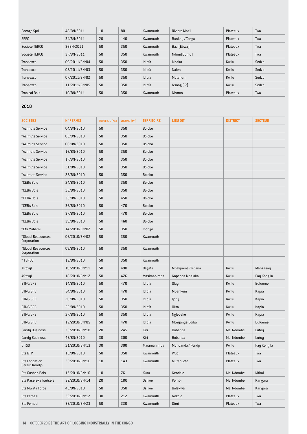| Socoge Sprl          | 48/BN/2011    | 10 | 80  | Kwamouth | Riviere Mbali   | Plateaux | Twa   |
|----------------------|---------------|----|-----|----------|-----------------|----------|-------|
| <b>SPEC</b>          | 34/BN/2011    | 20 | 140 | Kwamouth | Bankay / Tanga  | Plateaux | Twa   |
| Societe TERCO        | 36BN/2011     | 50 | 350 | Kwamouth | Baa (Ebwa)      | Plateaux | Twa   |
| Societe TERCO        | 37/BN/2011    | 50 | 350 | Kwamouth | Ndimi(Dumu)     | Plateaux | Twa   |
| Transexco            | 09/2011/BN/04 | 50 | 350 | Idiofa   | Mbako           | Kwilu    | Sedzo |
| Transexco            | 08/2011/BN/03 | 50 | 350 | Idiofa   | <b>Naien</b>    | Kwilu    | Sedzo |
| Transexco            | 07/2011/BN/02 | 50 | 350 | Idiofa   | Mutshun         | Kwilu    | Sedzo |
| Transexco            | 11/2011/BN/05 | 50 | 350 | Idiofa   | $N$ song $[ ?]$ | Kwilu    | Sedzo |
| <b>Tropical Bois</b> | 10/BN/2011    | 50 | 350 | Kwamouth | Nbomo           | Plateaux | Twa   |

#### **2010**

| <b>SOCIETES</b>                       | <b>N° PERMIS</b> | <b>SUPRFICIE</b> (ha) | VOLUME [m <sup>3</sup> ] | <b>TERRITOIRE</b> | <b>LIEU DIT</b>   | <b>DISTRICT</b> | <b>SECTEUR</b> |
|---------------------------------------|------------------|-----------------------|--------------------------|-------------------|-------------------|-----------------|----------------|
| *Azimuts Service                      | 04/BN/2010       | 50                    | 350                      | <b>Bolobo</b>     |                   |                 |                |
| *Azimuts Service                      | 05/BN/2010       | 50                    | 350                      | Bolobo            |                   |                 |                |
| *Azimuts Service                      | 06/BN/2010       | 50                    | 350                      | <b>Bolobo</b>     |                   |                 |                |
| *Azimuts Service                      | 16/BN/2010       | 50                    | 350                      | Bolobo            |                   |                 |                |
| *Azimuts Service                      | 17/BN/2010       | 50                    | 350                      | <b>Bolobo</b>     |                   |                 |                |
| *Azimuts Service                      | 21/BN/2010       | 50                    | 350                      | Bolobo            |                   |                 |                |
| *Azimuts Service                      | 22/BN/2010       | 50                    | 350                      | <b>Bolobo</b>     |                   |                 |                |
| *CEBA Bois                            | 24/BN/2010       | 50                    | 350                      | Bolobo            |                   |                 |                |
| *CEBA Bois                            | 25/BN/2010       | 50                    | 350                      | <b>Bolobo</b>     |                   |                 |                |
| *CEBA Bois                            | 35/BN/2010       | 50                    | 450                      | Bolobo            |                   |                 |                |
| *CEBA Bois                            | 36/BN/2010       | 50                    | 470                      | <b>Bolobo</b>     |                   |                 |                |
| *CEBA Bois                            | 37/BN/2010       | 50                    | 470                      | <b>Bolobo</b>     |                   |                 |                |
| *CEBA Bois                            | 38/BN/2010       | 50                    | 460                      | <b>Bolobo</b>     |                   |                 |                |
| *Ets Mabami                           | 14/2010/BN/07    | 50                    | 350                      | Inongo            |                   |                 |                |
| *Global Ressources<br>Corporation     | 06/2010/BN/02    | 50                    | 350                      | Kwamouth          |                   |                 |                |
| *Global Ressources<br>Corporation     | 09/BN/2010       | 50                    | 350                      | Kwamouth          |                   |                 |                |
| *TERCO                                | 12/BN/2010       | 50                    | 350                      | Kwamouth          |                   |                 |                |
| Afroxyl                               | 18/2010/BN/11    | 50                    | 490                      | Bagata            | Mbalipome / Ndana | Kwilu           | Manzasay       |
| Afroxyl                               | 18/2010/BN/12    | 50                    | 476                      | Masimanimba       | Kapenda Mbalaka   | Kwilu           | Pay Kongila    |
| BTNC/GFB                              | 14/BN/2010       | 50                    | 470                      | Idiofa            | Olay              | Kwilu           | <b>Bulueme</b> |
| BTNC/GFB                              | 54/BN/2010       | 50                    | 470                      | Idiofa            | Mbankom           | Kwilu           | Kapia          |
| BTNC/GFB                              | 28/BN/2010       | 50                    | 350                      | Idiofa            | ljong             | Kwilu           | Kapia          |
| BTNC/GFB                              | 55/BN/2010       | 50                    | 350                      | Idiofa            | <b>Okra</b>       | Kwilu           | Kapia          |
| BTNC/GFB                              | 27/BN/2010       | 50                    | 350                      | Idiofa            | Nglebeke          | Kwilu           | Kapia          |
| BTNC/GFB                              | 12/2010/BN/05    | 50                    | 470                      | Idiofa            | Nbeyange-Ediba    | Kwilu           | <b>Bulueme</b> |
| <b>Candy Business</b>                 | 33/2010/BN/18    | 20                    | 245                      | Kiri              | Bobanda           | Mai Ndombe      | Lutoy          |
| <b>Candy Business</b>                 | 42/BN/2010       | 30                    | 300                      | Kiri              | Bobanda           | Mai Ndombe      | Lutoy          |
| CITS <sub>0</sub>                     | 21/2010/BN/13    | 30                    | 300                      | Masimanimba       | Mundanda / Pondji | Kwilu           | Pay Kongila    |
| Ets BTP                               | 15/BN/2010       | 50                    | 350                      | Kwamouth          | Wuo               | Plateaux        | Twa            |
| <b>Ets Fondation</b><br>Gerard Kondjo | 30/2010/BN/16    | 10                    | 143                      | Kwamouth          | Mutshueto         | Plateaux        | Twa            |
| Ets Goshen Bois                       | 17/2010/BN/10    | 10                    | 76                       | Kutu              | Kendale           | Mai Ndombe      | Mfimi          |
| Ets Kasereka Tsetsele                 | 22/2010/BN/14    | 20                    | 180                      | Oshwe             | Pombi             | Mai Ndombe      | Kangara        |
| Ets Mwata Force                       | 43/BN/2010       | 50                    | 350                      | Oshwe             | Bolekwa           | Mai Ndombe      | Kangara        |
| Ets Pemasi                            | 32/2010/BN/17    | 30                    | 212                      | Kwamouth          | Nokele            | Plateaux        | Twa            |
| Ets Pemasi                            | 32/2010/BN/23    | 50                    | 330                      | Kwamouth          | Dimi              | Plateaux        | Twa            |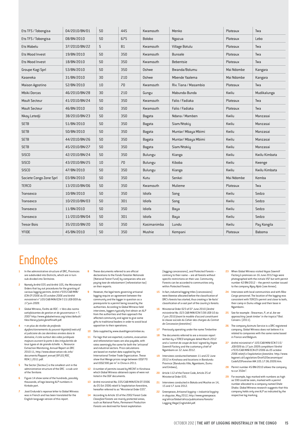| Ets TFS / Tobongisa     | 04/2010/BN/01 | 50 | 445 | Kwamouth      | Menko                 | Plateaux   | Twa           |
|-------------------------|---------------|----|-----|---------------|-----------------------|------------|---------------|
| Ets TFS / Tobongisa     | 08/BN/2010    | 50 | 675 | <b>Bolobo</b> | Ngazua                | Plateaux   | Lebo          |
| Ets Wabelu              | 37/2010/BN/22 | 5  | 81  | Kwamouth      | Village Botulu        | Plateaux   | Twa           |
| Ets Wood Invest         | 19/BN/2010    | 50 | 350 | Kwamouth      | <b>Bunsele</b>        | Plateaux   | Twa           |
| Ets Wood Invest         | 18/BN/2010    | 50 | 350 | Kwamouth      | <b>Bebentsie</b>      | Plateaux   | Twa           |
| Groupe Kagi Sprl        | 53/BN/2010    | 50 | 350 | Oshwe         | Bwanda/Bolumu         | Mai Ndombe | Kangara       |
| Kasereka                | 31/BN/2010    | 30 | 210 | Oshwe         | Mbende Yaalema        | Mai Ndombe | Kangara       |
| Maison Agostino         | 52/BN/2010    | 10 | 70  | Kwamouth      | Riv. Tiana / Masambio | Plateaux   | Twa           |
| <b>Mbiki Dorcas</b>     | 46/2010/BN/28 | 30 | 210 | Gungu         | Mabunda-Bunda         | Kwilu      | Mudikalunga   |
| <b>Moult Secteur</b>    | 41/2010/BN/24 | 50 | 350 | Kwamouth      | Falio / Fadiaka       | Plateaux   | Twa           |
| <b>Moult Secteur</b>    | 46/BN/2010    | 50 | 350 | Kwamouth      | Falio / Fadiaka       | Plateaux   | Twa           |
| Nkoy Letedji            | 38/2010/BN/23 | 50 | 350 | Bagata        | Ndana / Mamben        | Kwilu      | Manzasai      |
| <b>SETB</b>             | 51/BN/2010    | 50 | 350 | Bagata        | Siam/Ntokiy           | Kwilu      | Manzasai      |
| <b>SETB</b>             | 50/BN/2010    | 50 | 350 | Bagata        | Muntar/ Mbaya Mbimi   | Kwilu      | Manzasai      |
| <b>SETB</b>             | 44/2010/BN/26 | 50 | 350 | Bagata        | Muntar/ Mbaya Mbimi   | Kwilu      | Manzasai      |
| <b>SETB</b>             | 45/2010/BN/27 | 50 | 350 | Bagata        | Siam/Ntokiy           | Kwilu      | Manzasai      |
| <b>SISCO</b>            | 42/2010/BN/24 | 50 | 350 | Bulungu       | Kianga                | Kwilu      | Kwilu Kimbata |
| <b>SISCO</b>            | 43/2010/BN/25 | 10 | 70  | Bulungu       | Kiboba                | Kwilu      | Kwenge        |
| <b>SISCO</b>            | 47/BN/2010    | 50 | 350 | Bulungu       | Kianga                | Kwilu      | Kwilu Kimbata |
| Societe Congo Zone Sprl | 03/BN/2010    | 50 | 350 | Kutu          | Senkei                | Mai Ndombe | Kemba         |
| <b>TERCO</b>            | 13/2010/BN/06 | 50 | 350 | Kwamouth      | Mulieme               | Plateaux   | Twa           |
| Transexco               | 10/BN/2010    | 50 | 350 | Idiofa        | Song                  | Kwilu      | Sedzo         |
| Transexco               | 10/2010/BN/03 | 50 | 301 | Idiofa        | Song                  | Kwilu      | Sedzo         |
| Transexco               | 11/BN/2010    | 50 | 350 | Idiofa        | Baya                  | Kwilu      | Sedzo         |
| Transexco               | 11/2010/BN/04 | 50 | 301 | Idiofa        | Baya                  | Kwilu      | Sedzo         |
| <b>Tresor Bois</b>      | 35/2010/BN/20 | 50 | 350 | Kasimanimba   | Lundu                 | Kwilu      | Pay Kongila   |
| <b>YFIDE</b>            | 45/BN/2010    | 50 | 350 | Mushie        | Kempani               | Plateaux   | Baboma        |

### Endnotes

- **1** In the administrative structure of DRC, Provinces are subdivided into Districts, which are in turn sub-divided into *Territoires*.
- **2** Namely Arrêté 035 and Arrêté 105, the Ministerial Orders that lay out procedures for the granting of various logging permits. *Arrêté n°035/CAB/MIN/ ECN-EF/2006 du 05 octobre 2006 and Arrêté ministériel n° 105/CAB/MIN/ECN-T/15/JEB/009 du 17 juin 2009*.
- **3** Global Witness, *Forêts de RDC : « Vers des norms satisfaisantes de gestion et de gouvernance » ?*, 2007 http://www.globalwitness.org/sites/default/ files/library/policybrieffinalfr.pdf.
- **4** *« en plus de révéler de profonds dysfonctionnements du pouvoir législatif exécutif et judiciaire de ces dernières années dans le domaine, il crée surtout des vides juridiques majeurs ouvrant la porte à des irrégularités de tous types et de grande échelle. »*, Resource Extraction Monitoring, Annual Report on DRC 2010-11, http://www.observation-rdc.info/ documents/Rapport\_annuel\_OIFLEG\_RDC\_ REM\_1\_2011.pdf.
- **5** The Sector (*Secteur*) is the smallest unit in the administrative structure of the DRC - a sub-unit of the *Territoire.*
- **6** Figure 14 show some of the hundreds, possibly thousands, of logs bearing ALP numbers in Kinkole port.
- **7** José Endundo's reponse letter to Global Witness was in French and has been translated for the English language version of this report.
- **8** These documents referred to are official declarations to the *Fonds Forestier Nationale* (National Forest Fund) by companies who are paying *taxe de reboisement* (reforestation tax) .<br>on their exports
- **9** However, the legal texts governing artisanal logging require an agreement between the community and the logger in question as a prerequisite to a permit being issued by the authorities. According to Global Witness field interviews, loggers typically first obtain an ALP from the authorities and then approach the affected community and agree to give some gifts to traditional leaders in order to avoid local opposition to their operations.
- **10** Data supplied by www.duediligencetimber.eu.
- **11** For logs that are exported, customs, evacuation and reforestation taxes are also payable, with rates seemingly the same for both the 'artisanal' and industrial sectors. Price calculations are based on market data supplied by the International Timber Trade Organization. These show that Wenge prices range between US\$770 and US\$2300 per m<sup>3</sup> in China in 2011.
- **12** A number of permits issued by MECNT in Kinshasa which Global Witness obtained copies of were not listed in the DGF documents.
- **13** Arrêté ministériel No. 035/CAB/MIN/ECN-EF/2006 du 05 Oct 2006 relatif à l'exploitation forestière, hereafter referred to as "Ministerial Order 035".
- **14** According to Article 10 of the 2002 Forest Code *Classified Forests* are mainly protected areas, such as National Parks, *Permanent Production Forests* are destined for forest exploitation

(logging concessions), and *Protected Forests* – contrary to their name – are all forests without specific restrictions on their use. Community Forests can be accorded to communities only within *Protected Forests*.

- **15** In fact, industrial logging titles (concessions) were likewise allocated before the classification of DRC's forests has started, thus creating a 'de-facto' classification of a vast part of the country's forests.
- **16** Ministerial Order 023 of 07 June 2010 *(Arrêté ministériel No. 023 CAB/MIN/ECN-T/28/JEB/10 du 7 juin 2010 fixant le modèle d'accord constituent la clause sociale du Cahier des charges du Contrat de Concession forestière).*
- **17** Previously operating under the name *Timberline*
- **18** The documents referred to are a mission report written bu a *TERCO* employee dated March 2012 and a *'contrat de coupe de bois'* signed by *Vegas Sawmill Factory* and the customary chief of Ngambomi on 12 June 2012.
- **19** Interviews conducted between 11 and 22 June 2012 in Kinshasa and locations in Bandundu Province (Bandundu Ville, Ngambomi, Dumu and Embwa),
- **20** Article 112 of the Forest Code, Article 25 of Ministerial Order 035.
- **21** Interviews conducted in Bokala and Mushie on 14, 15 and 17 June 2012.
- **22** Greenpeace, *Artisanal logging = industrial logging in disguise*, May 2012, http://www.greenpeace. org/africa/Global/africa/publications/forests/ Logging Illegal EnglishA4.pdf.
- **23** When Global Witness visited *Vegas Sawmill Factory's* premises on 16 June 2012 logs were photographed with the initials VSF but with permit number 42/BN/2012 – the permit number issued to the company *Ngoy Njolo* (see Annex).
- **24** Interviews with local communities and with *Riba Congo* personnel. The location of the logging was consistent with TERCO's permit and close to both, their camp in Dumu village and their base in Ngambomi.
- **25** See for example : Shearman, P., et al. *Are we approaching 'peak timber' in the tropics?* Biol. Conserv. (2011).
- **26** The company Azimuts Service is a DRC registered company. Global Witness does not believe it is related to companies with the same name based in France and Belgium.
- **27** *Arrêté ministériel n° 105/CAB/MIN/ECN-T/15/ JEB/009 du 17 juin 2009 complétant l'Arrêté n°035/CAB/MIN/ECN-EF/2006 du 05 octobre 2006 relatif a l'exploitation forestière.* http://www. leganet.cd/Legislation/Droit%20economique/ Code%20Forestier/AM.105.17.06.2009.htm.
- **28** Permit number 45/BN/2010 allows the company to cut 350m
- **29** For example, logs marked with numbers as high as 590 could be seen, marked with a permit number allocated to a company named *Shele Shaba*. Global Witness research suggests that this company holds only one ALP as indicated by the respective log marking.